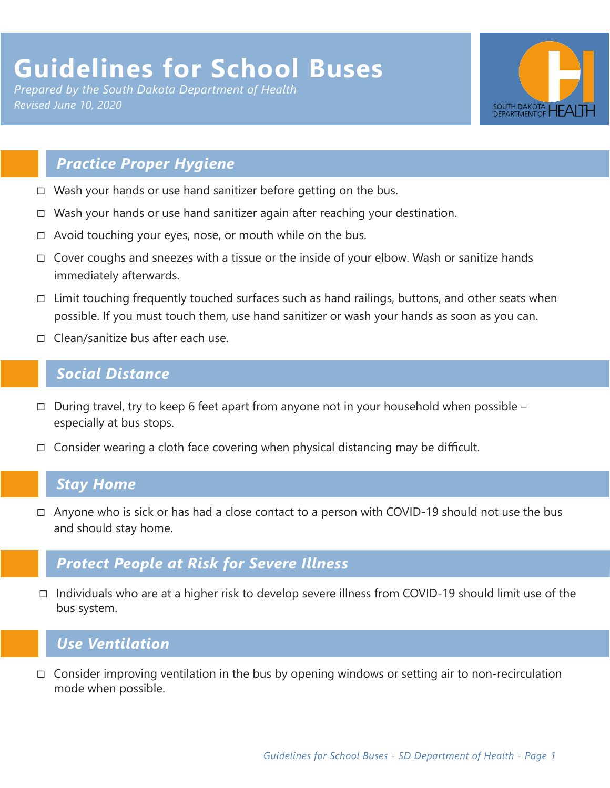# **Guidelines for School Buses**

*Prepared by the South Dakota Department of Health Revised June 10, 2020*



## *Practice Proper Hygiene*

- □ Wash your hands or use hand sanitizer before getting on the bus.
- ◻ Wash your hands or use hand sanitizer again after reaching your destination.
- ◻ Avoid touching your eyes, nose, or mouth while on the bus.
- ◻ Cover coughs and sneezes with a tissue or the inside of your elbow. Wash or sanitize hands immediately afterwards.
- $\Box$  Limit touching frequently touched surfaces such as hand railings, buttons, and other seats when possible. If you must touch them, use hand sanitizer or wash your hands as soon as you can.
- ◻ Clean/sanitize bus after each use.

#### *Social Distance*

- ◻ During travel, try to keep 6 feet apart from anyone not in your household when possible especially at bus stops.
- $\Box$  Consider wearing a cloth face covering when physical distancing may be difficult.

#### *Stay Home*

◻ Anyone who is sick or has had a close contact to a person with COVID-19 should not use the bus and should stay home.

### *Protect People at Risk for Severe Illness*

◻ Individuals who are at a higher risk to develop severe illness from COVID-19 should limit use of the bus system.

## *Use Ventilation*

 $\Box$  Consider improving ventilation in the bus by opening windows or setting air to non-recirculation mode when possible.